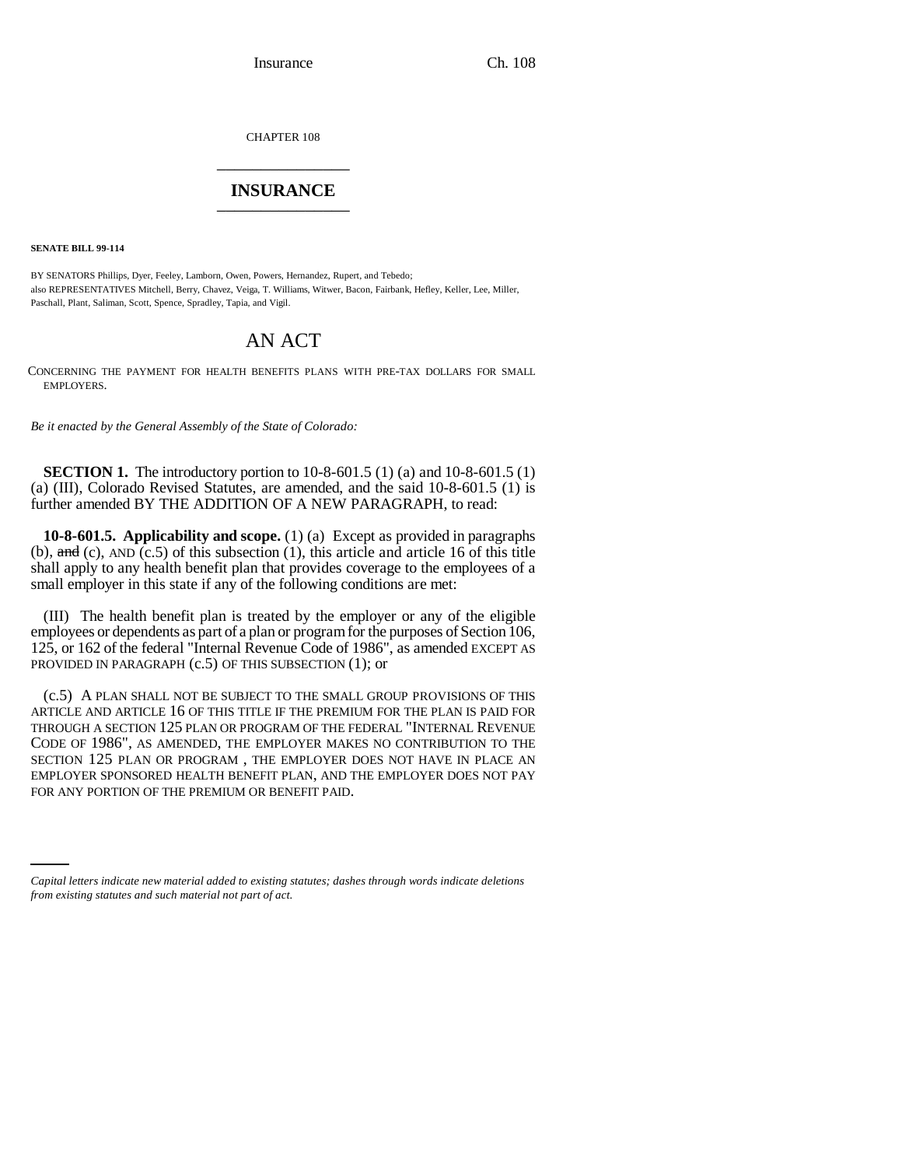Insurance Ch. 108

CHAPTER 108 \_\_\_\_\_\_\_\_\_\_\_\_\_\_\_

## **INSURANCE** \_\_\_\_\_\_\_\_\_\_\_\_\_\_\_

**SENATE BILL 99-114** 

BY SENATORS Phillips, Dyer, Feeley, Lamborn, Owen, Powers, Hernandez, Rupert, and Tebedo; also REPRESENTATIVES Mitchell, Berry, Chavez, Veiga, T. Williams, Witwer, Bacon, Fairbank, Hefley, Keller, Lee, Miller, Paschall, Plant, Saliman, Scott, Spence, Spradley, Tapia, and Vigil.

## AN ACT

CONCERNING THE PAYMENT FOR HEALTH BENEFITS PLANS WITH PRE-TAX DOLLARS FOR SMALL EMPLOYERS.

*Be it enacted by the General Assembly of the State of Colorado:*

**SECTION 1.** The introductory portion to 10-8-601.5 (1) (a) and 10-8-601.5 (1) (a) (III), Colorado Revised Statutes, are amended, and the said 10-8-601.5 (1) is further amended BY THE ADDITION OF A NEW PARAGRAPH, to read:

**10-8-601.5. Applicability and scope.** (1) (a) Except as provided in paragraphs (b),  $\text{and}$  (c), AND (c.5) of this subsection (1), this article and article 16 of this title shall apply to any health benefit plan that provides coverage to the employees of a small employer in this state if any of the following conditions are met:

(III) The health benefit plan is treated by the employer or any of the eligible employees or dependents as part of a plan or program for the purposes of Section 106, 125, or 162 of the federal "Internal Revenue Code of 1986", as amended EXCEPT AS PROVIDED IN PARAGRAPH  $(c.5)$  OF THIS SUBSECTION  $(1)$ ; or

FOR ANY PORTION OF THE PREMIUM OR BENEFIT PAID.(c.5) A PLAN SHALL NOT BE SUBJECT TO THE SMALL GROUP PROVISIONS OF THIS ARTICLE AND ARTICLE 16 OF THIS TITLE IF THE PREMIUM FOR THE PLAN IS PAID FOR THROUGH A SECTION 125 PLAN OR PROGRAM OF THE FEDERAL "INTERNAL REVENUE CODE OF 1986", AS AMENDED, THE EMPLOYER MAKES NO CONTRIBUTION TO THE SECTION 125 PLAN OR PROGRAM , THE EMPLOYER DOES NOT HAVE IN PLACE AN EMPLOYER SPONSORED HEALTH BENEFIT PLAN, AND THE EMPLOYER DOES NOT PAY

*Capital letters indicate new material added to existing statutes; dashes through words indicate deletions from existing statutes and such material not part of act.*